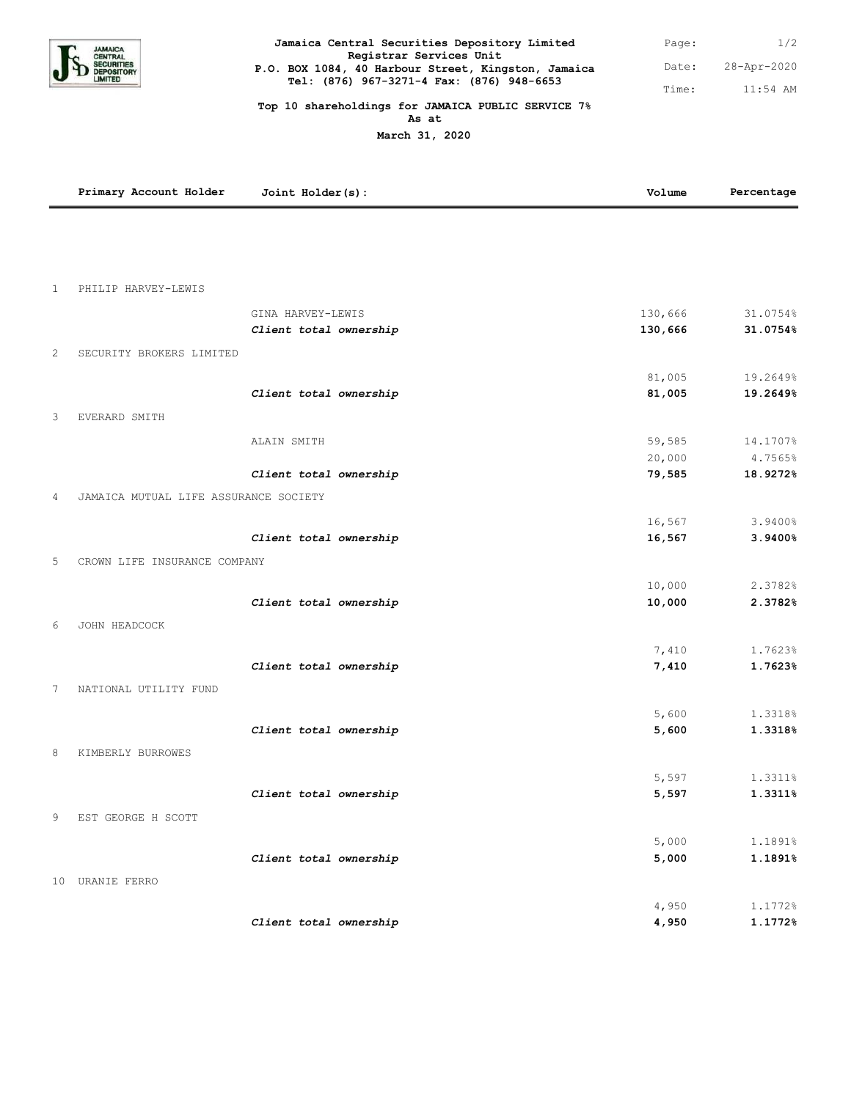

| Jamaica Central Securities Depository Limited                                  | Page: | 1/2         |
|--------------------------------------------------------------------------------|-------|-------------|
| Registrar Services Unit<br>P.O. BOX 1084, 40 Harbour Street, Kingston, Jamaica | Date: | 28-Apr-2020 |
| Tel: (876) 967-3271-4 Fax: (876) 948-6653                                      | Time: | $11:54$ AM  |

1/2

## **Top 10 shareholdings for JAMAICA PUBLIC SERVICE 7% As at**

**March 31, 2020**

|              | Primary Account Holder                | Joint Holder(s):       | Volume         | Percentage         |
|--------------|---------------------------------------|------------------------|----------------|--------------------|
|              |                                       |                        |                |                    |
|              |                                       |                        |                |                    |
|              |                                       |                        |                |                    |
| $\mathbf{1}$ | PHILIP HARVEY-LEWIS                   |                        |                |                    |
|              |                                       | GINA HARVEY-LEWIS      | 130,666        | 31.0754%           |
|              |                                       | Client total ownership | 130,666        | 31.0754%           |
| 2            | SECURITY BROKERS LIMITED              |                        |                |                    |
|              |                                       |                        | 81,005         | 19.2649%           |
|              |                                       | Client total ownership | 81,005         | 19.2649%           |
| 3            | EVERARD SMITH                         |                        |                |                    |
|              |                                       |                        |                |                    |
|              |                                       | ALAIN SMITH            | 59,585         | 14.1707%           |
|              |                                       |                        | 20,000         | 4.7565%            |
|              |                                       | Client total ownership | 79,585         | 18.9272%           |
| 4            | JAMAICA MUTUAL LIFE ASSURANCE SOCIETY |                        |                |                    |
|              |                                       |                        | 16,567         | 3.9400%            |
|              |                                       | Client total ownership | 16,567         | 3.9400%            |
| 5            | CROWN LIFE INSURANCE COMPANY          |                        |                |                    |
|              |                                       |                        | 10,000         | 2.3782%            |
|              |                                       | Client total ownership | 10,000         | 2.3782%            |
|              |                                       |                        |                |                    |
| 6            | JOHN HEADCOCK                         |                        |                |                    |
|              |                                       |                        | 7,410          | 1.7623%            |
|              |                                       | Client total ownership | 7,410          | 1.7623%            |
| 7            | NATIONAL UTILITY FUND                 |                        |                |                    |
|              |                                       |                        | 5,600          | 1.3318%            |
|              |                                       | Client total ownership | 5,600          | 1.3318%            |
| 8            | KIMBERLY BURROWES                     |                        |                |                    |
|              |                                       |                        |                |                    |
|              |                                       |                        | 5,597<br>5,597 | 1.3311%<br>1.3311% |
|              |                                       | Client total ownership |                |                    |
| 9            | EST GEORGE H SCOTT                    |                        |                |                    |
|              |                                       |                        | 5,000          | 1.1891%            |
|              |                                       | Client total ownership | 5,000          | 1.1891%            |
|              | 10 URANIE FERRO                       |                        |                |                    |
|              |                                       |                        | 4,950          | 1.1772%            |
|              |                                       | Client total ownership | 4,950          | 1.1772%            |